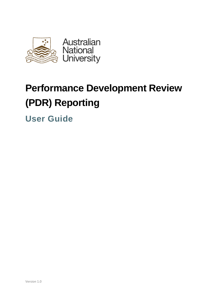

# **Performance Development Review (PDR) Reporting**

**User Guide**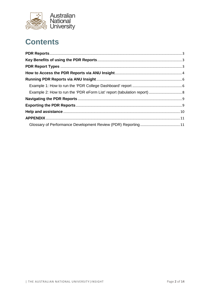

## **Contents**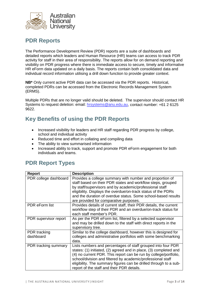

#### <span id="page-2-0"></span>**PDR Reports**

The Performance Development Review (PDR) reports are a suite of dashboards and detailed reports which leaders and Human Resource (HR) teams can access to track PDR activity for staff in their area of responsibility. The reports allow for on demand reporting and visibility on PDR progress where there is immediate access to secure, timely and informative HR eForm data updated on a daily basis. The reports contain both consolidated data and individual record information utilising a drill down function to provide greater context.

**NB\*** Only current active PDR data can be accessed via the PDR reports. Historical, completed PDRs can be accessed from the Electronic Records Management System (ERMS).

Multiple PDRs that are no longer valid should be deleted. The supervisor should contact HR Systems to request deletion: email: [hrsystems@anu.edu.au,](mailto:hrsystems@anu.edu.au) contact number: +61 2 6125 9622.

## <span id="page-2-1"></span>**Key Benefits of using the PDR Reports**

- Increased visibility for leaders and HR staff regarding PDR progress by college, school and individual activity
- Reduced time and effort in collating and compiling data
- The ability to view summarised information
- Increased ability to track, support and promote PDR eForm engagement for both individuals and teams.

#### <span id="page-2-2"></span>**PDR Report Types**

| <b>Report</b>                    | <b>Description</b>                                                                                                                                                                                                                                                                                                                                                                      |
|----------------------------------|-----------------------------------------------------------------------------------------------------------------------------------------------------------------------------------------------------------------------------------------------------------------------------------------------------------------------------------------------------------------------------------------|
| PDR college dashboard            | Provides a college summary with number and proportion of<br>staff based on their PDR states and workflow steps, grouped<br>by staff/supervisors and by academic/professional staff<br>eligibility. Displays the overdue/on-track status of the PDRs<br>and the duration of overdue status. Some school-based results<br>are provided for comparative purposes.                          |
| PDR eForm list                   | Provides details of current staff, their PDR details, the current<br>workflow step of their PDR and an overdue/on-track status for<br>each staff member's PDR.                                                                                                                                                                                                                          |
| PDR supervisor report            | As per the PDR eForm list, filtered by a selected supervisor<br>and may be drilled down to the staff with direct reports in the<br>supervisory tree.                                                                                                                                                                                                                                    |
| <b>PDR</b> tracking<br>dashboard | Similar to the college dashboard, however this is designed for<br>colleges and administrative portfolios with some benchmarking<br>data.                                                                                                                                                                                                                                                |
| PDR tracking summary             | Lists numbers and percentages of staff grouped into four PDR<br>states: (1) initiated, (2) agreed and in place, (3) completed and<br>(4) no current PDR. This report can be run by college/portfolio,<br>school/division and filtered by academic/professional staff<br>eligibility. The summary figures can be drilled through to a sub-<br>report of the staff and their PDR details. |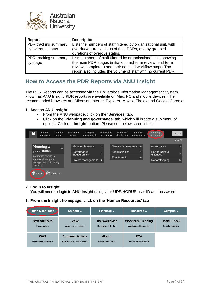

| Report                                    | <b>Description</b>                                                                                                                                                                                                                                          |
|-------------------------------------------|-------------------------------------------------------------------------------------------------------------------------------------------------------------------------------------------------------------------------------------------------------------|
| PDR tracking summary<br>by overdue status | Lists the numbers of staff filtered by organisational unit, with<br>overdue/on-track status of their PDRs, and by grouped<br>durations of overdue status.                                                                                                   |
| PDR tracking summary<br>by stage          | Lists numbers of staff filtered by organisational unit, showing<br>the main PDR stages (initiation, mid-term review, end-term<br>review, completed) and their detailed workflow steps. The<br>report also includes the volume of staff with no current PDR. |

## <span id="page-3-0"></span>**How to Access the PDR Reports via ANU Insight**

The PDR Reports can be accessed via the University's Information Management System known as ANU Insight. PDR reports are available on Mac, PC and mobile devices. The recommended browsers are Microsoft Internet Explorer, Mozilla Firefox and Google Chrome.

#### **1. Access ANU Insight**

- From the ANU webpage, click on the **'Services'** tab.
- Click on the **'Planning and governance'** tab, which will initiate a sub menu of options. Click on **'Insight'** option. Please see below screenshot.

|  |                                                                                                                                         | Human<br>resources | Research<br>support                 |  | Education<br>support | Campus<br>environment |               | Information<br>technology |                | Marketing<br>& outreach | Financial<br>management |               | Planning &<br><b>governance</b> | <b>LOGIN</b>      |  |              |  |       |               |               |  |
|--|-----------------------------------------------------------------------------------------------------------------------------------------|--------------------|-------------------------------------|--|----------------------|-----------------------|---------------|---------------------------|----------------|-------------------------|-------------------------|---------------|---------------------------------|-------------------|--|--------------|--|-------|---------------|---------------|--|
|  |                                                                                                                                         |                    |                                     |  |                      |                       |               |                           |                |                         |                         |               |                                 | close $\boxtimes$ |  |              |  |       |               |               |  |
|  | Planning &<br>$\mathcal{P}$<br>governance<br>Information relating to<br>strategic planning and<br>management of University<br>business. |                    |                                     |  |                      | Planning & review     | $\mathcal{P}$ |                           |                | Service improvement »   |                         |               | Governance                      | $\rightarrow$     |  |              |  |       |               |               |  |
|  |                                                                                                                                         |                    |                                     |  | Performance          |                       | $\gg$         |                           | Legal services |                         |                         | $\mathcal{D}$ | Partnerships &<br>alliances     | $\mathcal{P}$     |  |              |  |       |               |               |  |
|  |                                                                                                                                         |                    | measurement<br>Project management » |  |                      |                       |               |                           |                |                         |                         |               |                                 |                   |  | Risk & audit |  | $\gg$ | Recordkeeping | $\mathcal{P}$ |  |
|  |                                                                                                                                         |                    |                                     |  |                      |                       |               |                           |                |                         |                         |               |                                 |                   |  |              |  |       |               |               |  |
|  |                                                                                                                                         | Insight            | $\binom{4.4}{30}$ Calendar          |  |                      |                       |               |                           |                |                         |                         |               |                                 |                   |  |              |  |       |               |               |  |

#### **2. Login to Insight**

You will need to login to ANU Insight using your UDS/HORUS user ID and password.

#### **3. From the Insight homepage, click on the 'Human Resources' tab**

| Human Resources →      | Student $\sim$                 | Financial $\sim$     | Research $\triangle$      | Campus $\triangle$  |
|------------------------|--------------------------------|----------------------|---------------------------|---------------------|
| <b>Staff Numbers</b>   | Leave                          | The Workplace        | <b>Workforce Planning</b> | <b>Health Check</b> |
| Demographics           | Absences and liability         | Supporting ANU staff | Modelling and forecasting | Periodic reporting  |
| <b>WHS</b>             | <b>Academic Activity</b>       | eForms               | <b>PCA</b>                |                     |
| Work health and safety | Statement of academic activity | HR electronic forms  | Payroll costing analysis  |                     |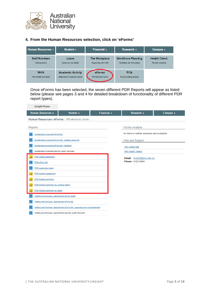

#### **4. From the Human Resources selection, click on 'eForms'**

| Human Resources $\sim$ | Student $\sim$                 | Financial $\sim$           | Research $\triangle$      | Campus $\overline{\phantom{a}}$ |  |  |  |
|------------------------|--------------------------------|----------------------------|---------------------------|---------------------------------|--|--|--|
| <b>Staff Numbers</b>   | Leave                          | <b>The Workplace</b>       | <b>Workforce Planning</b> | <b>Health Check</b>             |  |  |  |
| Demographics           | Absences and liability         | Supporting ANU staff       | Modelling and forecasting | Periodic reporting              |  |  |  |
| <b>WHS</b>             | <b>Academic Activity</b>       | <b>eForms</b>              | <b>PCA</b>                |                                 |  |  |  |
| Work health and safety | Statement of academic activity | <b>HR</b> electronic forms | Payroll costing analysis  |                                 |  |  |  |

Once eForms has been selected, the seven different PDR Reports will appear as listed below (please see pages 3 and 4 for detailed breakdown of functionality of different PDR report types).

| <b>Insight Home</b>                                  |                                                                            |                            |                                             |                    |  |  |  |  |
|------------------------------------------------------|----------------------------------------------------------------------------|----------------------------|---------------------------------------------|--------------------|--|--|--|--|
| <b>Human Resources ▲</b>                             | Student $\triangle$                                                        | Financial $\blacktriangle$ | <b>Research ▲</b>                           | Campus $\triangle$ |  |  |  |  |
|                                                      | Human Resources / eForms: HR electronic forms                              |                            |                                             |                    |  |  |  |  |
| Reports                                              |                                                                            |                            | <b>Further Analysis</b>                     |                    |  |  |  |  |
| Accelerated increment eForm list                     |                                                                            |                            | No links to further analyses are available. |                    |  |  |  |  |
| Accelerated increment eForm list - awaiting approval |                                                                            |                            | Help and Support                            |                    |  |  |  |  |
| Accelerated increment eForm list - declined          |                                                                            |                            | <b>ANU Insight Help</b>                     |                    |  |  |  |  |
| Accelerated increment security audit (Secured)       |                                                                            |                            | <b>ANU Insight Training</b>                 |                    |  |  |  |  |
| PDR college dashboard                                |                                                                            |                            | <b>Email</b><br>insight@anu.edu.au          |                    |  |  |  |  |
| PDR eForm list                                       |                                                                            |                            | Phone 6125 8649                             |                    |  |  |  |  |
| PDR supervisor report                                |                                                                            |                            |                                             |                    |  |  |  |  |
| PDR tracking dashboard                               |                                                                            |                            |                                             |                    |  |  |  |  |
| PDR tracking summary                                 |                                                                            |                            |                                             |                    |  |  |  |  |
| PDR tracking summary by overdue status               |                                                                            |                            |                                             |                    |  |  |  |  |
| PDR tracking summary by stage                        |                                                                            |                            |                                             |                    |  |  |  |  |
| Visiting and Honorary Appointment eForm detail       |                                                                            |                            |                                             |                    |  |  |  |  |
| Visiting and Honorary Appointment eForm list         |                                                                            |                            |                                             |                    |  |  |  |  |
|                                                      | Visiting and Honorary Appointment eForm list - upcoming end of appointment |                            |                                             |                    |  |  |  |  |
|                                                      | Visiting and Honorary Appointment security audit (Secured)                 |                            |                                             |                    |  |  |  |  |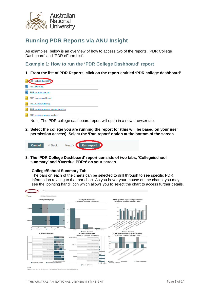

## <span id="page-5-0"></span>**Running PDR Reports via ANU Insight**

As examples, below is an overview of how to access two of the reports, 'PDR College Dashboard' and 'PDR eForm List'.

<span id="page-5-1"></span>**Example 1: How to run the 'PDR College Dashboard' report**

**1. From the list of PDR Reports, click on the report entitled 'PDR college dashboard'**



Note: The PDR college dashboard report will open in a new browser tab.

**2. Select the college you are running the report for (this will be based on your user permission access). Select the 'Run report' option at the bottom of the screen**



**3. The 'PDR College Dashboard' report consists of two tabs, 'College/school summary' and 'Overdue PDRs' on your screen.** 

#### **College/School Summary Tab**

The bars on each of the charts can be selected to drill through to see specific PDR information relating to that bar chart. As you hover your mouse on the charts, you may see the 'pointing hand' icon which allows you to select the chart to access further details.

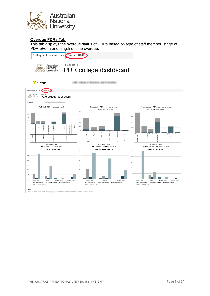

#### **Overdue PDRs Tab**

This tab displays the overdue status of PDRs based on type of staff member, stage of PDR eForm and length of time overdue.

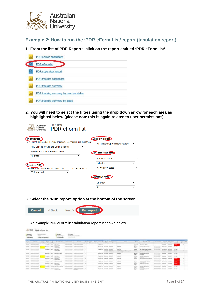

<span id="page-7-0"></span>**Example 2: How to run the 'PDR eForm List' report (tabulation report)**

#### **1. From the list of PDR Reports, click on the report entitled 'PDR eForm list'**



**2. You will need to select the filters using the drop down arrow for each area as highlighted below (please note this is again related to user permissions)** 

| <b>HR eForms</b><br>Australian<br>National<br><b>PDR</b> eForm list<br>Jniversity                     |                                        |
|-------------------------------------------------------------------------------------------------------|----------------------------------------|
| <b>Organisation:</b><br>Optionally filter based on the ANU organisational structure (job department). | Eligibility group:                     |
| ANU College of Arts and Social Sciences<br>▼                                                          | All (academic/professional/other)<br>▼ |
| Research School of Social Sciences<br>▼                                                               | PDR stage and step:                    |
| All areas<br>▼                                                                                        | Not yet in place<br>▼                  |
| Requires PDR:                                                                                         | Initiation<br>▼                        |
| Fixed-term staff with a term less than 12 months do not require a PDR.                                | All workflow steps                     |
| <b>PDR</b> required<br>▼                                                                              |                                        |
|                                                                                                       | <b>COn track/overdue:</b>              |
|                                                                                                       | On track<br>▼                          |
|                                                                                                       | All<br>▼                               |

**3. Select the 'Run report' option at the bottom of the screen**



An example PDR eForm list tabulation report is shown below.

| 185.95E                                                                                        | <b>Baltimore</b> | 10.002.00<br>PDR eForm list                   |  |                       |       | CONTRACTOR                                                        |                                        |  |               |  |                                                            |                                                                    |                                                                                        |                                                                          |                                                  |                                                                               |                        |                                        |                                                     |                 |                                                                     |  |  |  |  |  |  |
|------------------------------------------------------------------------------------------------|------------------|-----------------------------------------------|--|-----------------------|-------|-------------------------------------------------------------------|----------------------------------------|--|---------------|--|------------------------------------------------------------|--------------------------------------------------------------------|----------------------------------------------------------------------------------------|--------------------------------------------------------------------------|--------------------------------------------------|-------------------------------------------------------------------------------|------------------------|----------------------------------------|-----------------------------------------------------|-----------------|---------------------------------------------------------------------|--|--|--|--|--|--|
| Phone Re<br><b>Than</b> yana                                                                   |                  | ili salt<br><b><i>Stainbréamhannthair</i></b> |  |                       |       |                                                                   |                                        |  |               |  |                                                            | <b>Comment</b><br><b>TA-Specifical</b><br><b>T</b> in material and | <b>STARTS</b><br>ALCOHOL:<br>24 Ltd.P. And for Francis Manager<br><b>Big Middleton</b> |                                                                          |                                                  |                                                                               |                        |                                        |                                                     |                 |                                                                     |  |  |  |  |  |  |
| <b>CONTRACTOR</b>                                                                              |                  |                                               |  |                       |       |                                                                   |                                        |  |               |  |                                                            | <b>STATISTICS</b>                                                  |                                                                                        |                                                                          |                                                  | <b>Contract Contract</b>                                                      |                        |                                        |                                                     |                 |                                                                     |  |  |  |  |  |  |
| $\frac{1}{2}$                                                                                  |                  |                                               |  | 77                    |       | <b>COLORADO COM</b>                                               | <b><i><u>PERSONAL PROPERTY</u></i></b> |  |               |  |                                                            | <b>STAR</b>                                                        | <b>Contactment</b>                                                                     |                                                                          |                                                  | <b><i>Tilliganiko em</i></b>                                                  | <b>College care of</b> |                                        | $\frac{1}{\sqrt{2}}$ and $\frac{1}{\sqrt{2}}$       | <b>CALLS</b>    |                                                                     |  |  |  |  |  |  |
| and all                                                                                        |                  |                                               |  | <b>Forderman</b>      | -pock | <b>All Carry 1</b><br><b><i><u>SAME</u></i></b>                   |                                        |  |               |  | Magazine, Altito                                           |                                                                    |                                                                                        |                                                                          | $1 - 20 = 0$                                     | THE FEDERAL HOMES                                                             |                        | <b>LOW ONE</b>                         | -                                                   | --              | $\rightarrow$                                                       |  |  |  |  |  |  |
| $-10.000$                                                                                      |                  |                                               |  | Autumn: Große         |       | <b>Call Month</b><br><b><i>Professor collects</i></b>             |                                        |  |               |  | Newton-Nilly description, contemplate                      |                                                                    |                                                                                        | <b>CONTRACTOR</b>                                                        | for sen<br><b>USA</b>                            | <b>Britishers of Sciences</b>                                                 |                        | NYMB PROFIL                            |                                                     | <b>SE FIELD</b> |                                                                     |  |  |  |  |  |  |
| $\frac{1}{2} \left( \frac{1}{2} \right) \left( \frac{1}{2} \right) \left( \frac{1}{2} \right)$ |                  |                                               |  |                       |       | Trauma Grew Instituce                                             |                                        |  |               |  | Name PA 2120218 - 212022                                   |                                                                    |                                                                                        | <b>TERRITAGE</b>                                                         | ,,,,,<br>14mi                                    | Tell with 700 per centres                                                     |                        | Salt sales - detailed                  |                                                     | <b>COLAGE</b>   |                                                                     |  |  |  |  |  |  |
|                                                                                                |                  |                                               |  |                       |       | Street cast                                                       |                                        |  |               |  |                                                            | <b>STERN STERN</b>                                                 |                                                                                        | <b><i>STRATO SALEM TRAINING</i></b><br><b><i>ILONECIMIEN</i></b><br>---- | 14101                                            | <b>Sandal land, 1954</b>                                                      |                        | <b>Tuesday</b>                         | <b>CONTRACTOR</b>                                   | THAN            |                                                                     |  |  |  |  |  |  |
|                                                                                                |                  |                                               |  | <b>Riderstown AND</b> |       | - And (Office) 3 States                                           |                                        |  |               |  | Rooms-RR Linkstock                                         |                                                                    | 44401                                                                                  | <b>HALL</b>                                                              | <b>Bill and</b><br><b>START</b>                  | Agenter Robo solders<br><b>SCALE CARDS</b>                                    |                        | Supervisor of                          |                                                     | 121,646         |                                                                     |  |  |  |  |  |  |
|                                                                                                |                  |                                               |  |                       |       | Automobile Ministr Indiana Automobile<br><b><i>UNAHANA</i></b>    |                                        |  |               |  | Northern Managers - McGrant                                |                                                                    |                                                                                        | <b>CONTRACTOR</b>                                                        | <b>The Lines</b><br><b>SCRAN</b><br><b>COLOR</b> | $-1$<br>Seattless Trabic entriest:<br>AGENCIA                                 |                        | <b>Support</b>                         |                                                     | <b>TRIANE</b>   |                                                                     |  |  |  |  |  |  |
| $\frac{1}{2} \left( \frac{1}{2} \right) \left( \frac{1}{2} \right) \left( \frac{1}{2} \right)$ |                  |                                               |  |                       |       | Professor Street, Inc./Mixed<br>Administrator<br>a format and the |                                        |  | $\rightarrow$ |  | Master Alle Anterior                                       |                                                                    |                                                                                        | <b>DECK OR</b><br>the office and force                                   | traces                                           | the first party and security the second business<br>1977 STREUM AND AVENUES.  |                        |                                        | carbonage. Anderson<br>a believed from convenience. | --<br>---       | $\rightarrow$                                                       |  |  |  |  |  |  |
|                                                                                                |                  |                                               |  | <b>Riderick GMT</b>   |       | <b>AND THE LIGHT</b>                                              |                                        |  | 11            |  | <b>Room RF Schools</b>                                     | an and the Louisville and                                          | <b>STATISTICS</b><br><b>Contractor</b>                                                 | $-0.01433333242242$<br><b>Contract Contract</b>                          | <b>SECULI</b><br>$-$                             | W House of this<br>temporary in digestrated.                                  |                        |                                        | Arlians, 2024<br>to an arrangement of the an-       | -               | $\frac{1}{2} \left( \frac{1}{2} \right) \left( \frac{1}{2} \right)$ |  |  |  |  |  |  |
|                                                                                                |                  |                                               |  |                       |       | Transport GMS \$10,000.00<br><b>Just Agriculture</b>              |                                        |  |               |  | <b>George D.D. Tommer &amp;</b>                            |                                                                    |                                                                                        | <b>CONTRACTOR</b>                                                        | <b>WHEN</b>                                      | <b>Go any reside pre-view</b>                                                 |                        |                                        | <b>Seattle Anna - Concertibility Co.</b>            | --              |                                                                     |  |  |  |  |  |  |
|                                                                                                |                  |                                               |  |                       |       | <b>Productions: 1974/100 EXCLUSIVE CORPORATIONS</b>               |                                        |  |               |  | <b>Selection Service</b><br>Margaret Willis, Landscott, MI |                                                                    | ---                                                                                    | ---                                                                      | <b>Sales and</b>                                 | a contract from a secretary<br>Toponese freeze certificate<br><b>ASSAULTS</b> |                        | <b>CARD CARDS</b><br><b>Contractor</b> | <b>STATISTICS</b>                                   | 10.981          |                                                                     |  |  |  |  |  |  |
|                                                                                                |                  |                                               |  |                       |       | Robinson, Statist Carolina<br>The product the control of the co-  |                                        |  | 144           |  | Markett Ford Johnson                                       |                                                                    |                                                                                        | <b>TANK CARD</b>                                                         | <b>State Avenue</b><br>the party of              | Taylor Review                                                                 |                        |                                        | Assistant Policierty, 2014-00-                      |                 |                                                                     |  |  |  |  |  |  |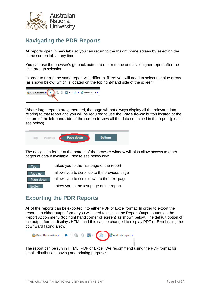

## <span id="page-8-0"></span>**Navigating the PDR Reports**

All reports open in new tabs so you can return to the Insight home screen by selecting the home screen tab at any time.

You can use the browser's go back button to return to the one level higher report after the drill-through selection.

In order to re-run the same report with different filters you will need to select the blue arrow (as shown below) which is located on the top right-hand side of the screen.



Where large reports are generated, the page will not always display all the relevant data relating to that report and you will be required to use the **'Page down'** button located at the bottom of the left-hand side of the screen to view all the data contained in the report (please see below).



The navigation footer at the bottom of the browser window will also allow access to other pages of data if available. Please see below key:



## <span id="page-8-1"></span>**Exporting the PDR Reports**

All of the reports can be exported into either PDF or Excel format. In order to export the report into either output format you will need to access the Report Output button on the Report Action menu (top right hand corner of screen) as shown below. The default option of the output format displays HTML and this can be changed to display PDF or Excel using the downward facing arrow.



The report can be run in HTML, PDF or Excel. We recommend using the PDF format for email, distribution, saving and printing purposes.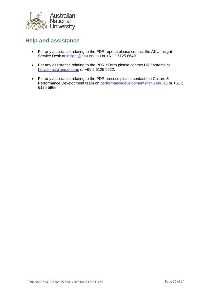

## <span id="page-9-0"></span>**Help and assistance**

- For any assistance relating to the PDR reports please contact the ANU Insight Service Desk at [insight@anu.edu.au](mailto:insight@anu.edu.au) or +61 2 6125 8649.
- For any assistance relating to the PDR eForm please contact HR Systems at [hrsystems@anu.edu.au](mailto:hrsystems@anu.edu.au) or +61 2 6125 9622.
- For any assistance relating to the PDR process please contact the Culture & Performance Development team on [performancedevelopment@anu.edu.au](mailto:performancedevelopment@anu.edu.au) or +61 2 6125 5966.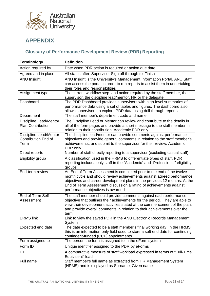

## <span id="page-10-0"></span>**APPENDIX**

#### <span id="page-10-1"></span>**Glossary of Performance Development Review (PDR) Reporting**

| <b>Terminology</b>                                                  | <b>Definition</b>                                                                                                                                                                                                                                                                                                                      |
|---------------------------------------------------------------------|----------------------------------------------------------------------------------------------------------------------------------------------------------------------------------------------------------------------------------------------------------------------------------------------------------------------------------------|
| Action required by                                                  | Date when PDR action is required or action due date                                                                                                                                                                                                                                                                                    |
| Agreed and in place                                                 | All states after 'Supervisor Sign off through to 'Finish'                                                                                                                                                                                                                                                                              |
| <b>ANU Insight</b>                                                  | ANU Insight is the University's Management Information Portal. ANU Staff<br>can access the portal in order to run reports to assist them in undertaking<br>their roles and responsibilities                                                                                                                                            |
| Assignment type                                                     | The current workflow step and action required by the staff member, their<br>supervisor, the discipline lead/mentor, HR or the delegate                                                                                                                                                                                                 |
| Dashboard                                                           | The PDR Dashboard provides supervisors with high-level summaries of<br>performance data using a set of tables and figures. The dashboard also<br>allows supervisors to explore PDR data using drill-through reports                                                                                                                    |
| Department                                                          | The staff member's department code and name                                                                                                                                                                                                                                                                                            |
| Discipline Lead/Mentor<br><b>Plan Contribution</b>                  | The Discipline Lead or Mentor can review and contribute to the details in<br>all of the form pages and provide a short message to the staff member in<br>relation to their contribution. Academic PDR only                                                                                                                             |
| <b>Discipline Lead/Mentor</b><br><b>Contribution End of</b><br>Term | The discipline lead/mentor can provide comments against performance<br>objectives and provide general comments in relation to the staff member's<br>achievements, and submit to the supervisor for their review. Academic<br>PDR only                                                                                                  |
| Direct reports                                                      | Number of staff directly reporting to a supervisor (excluding casual staff)                                                                                                                                                                                                                                                            |
| Eligibility group                                                   | A classification used in the HRMS to differentiate types of staff. PDR<br>reporting includes only staff in the "Academic" and "Professional" eligibility<br>groups                                                                                                                                                                     |
| End-term review                                                     | An End of Term Assessment is completed prior to the end of the twelve<br>month cycle and should review achievements against agreed performance<br>objectives and career development plans in the previous 12 months. At the<br>End of Term Assessment discussion a rating of achievements against<br>performance objectives is awarded |
| End of Term Self-<br>Assessment                                     | The staff member should provide comments against each performance<br>objective that outlines their achievements for the period. They are able to<br>view their development activities stated at the commencement of the plan,<br>and provide overall comments in relation to their achievements over the<br>term                       |
| <b>ERMS link</b>                                                    | Link to view the saved PDR in the ANU Electronic Records Management<br>System                                                                                                                                                                                                                                                          |
| Expected end date                                                   | The date expected to be a staff member's final working day. In the HRMS<br>this is an information-only field used to store a soft end date for continuing<br>contingent-funded (CCF) appointments                                                                                                                                      |
| Form assigned to                                                    | The person the form is assigned to in the eForm system                                                                                                                                                                                                                                                                                 |
| Form ID                                                             | Unique identifier assigned to the PDR by eForms                                                                                                                                                                                                                                                                                        |
| <b>FTE</b>                                                          | A comparative measure of staff workload expressed in terms of "Full-Time<br>Equivalent" load                                                                                                                                                                                                                                           |
| Full name                                                           | Staff member's full name as extracted from HR Management System<br>(HRMS) and is displayed as Surname, Given name                                                                                                                                                                                                                      |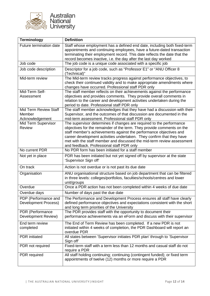

| <b>Terminology</b>                                 | <b>Definition</b>                                                                                                                                                                                                                                                                                                                                                                                                    |
|----------------------------------------------------|----------------------------------------------------------------------------------------------------------------------------------------------------------------------------------------------------------------------------------------------------------------------------------------------------------------------------------------------------------------------------------------------------------------------|
| Future termination date                            | Staff whose employment has a defined end date, including both fixed-term<br>appointments and continuing employees, have a future-dated transaction<br>terminating their employment record. This date reflects the date that the<br>record becomes inactive, i.e. the day after the last day worked                                                                                                                   |
| Job code                                           | The job code is a unique code associated with a specific job                                                                                                                                                                                                                                                                                                                                                         |
| Job code description                               | Descriptor for a job code, such as "Professor E1" or "ANU Officer 8<br>(Technical)"                                                                                                                                                                                                                                                                                                                                  |
| Mid-term review                                    | The Mid-term review tracks progress against performance objectives, to<br>check their continued validity and to make appropriate amendments where<br>changes have occurred. Professional staff PDR only                                                                                                                                                                                                              |
| Mid-Term Self-<br>Assessment                       | The staff member reflects on their achievements against the performance<br>objectives and provides comments. They provide overall comments in<br>relation to the career and development activities undertaken during the<br>period to date. Professional staff PDR only                                                                                                                                              |
| Mid Term Review Staff<br>Member<br>Acknowledgement | The staff member acknowledges that they have had a discussion with their<br>Supervisor, and the outcomes of that discussion are documented in the<br>mid-term assessment. Professional staff PDR only                                                                                                                                                                                                                |
| Mid Term Supervisor<br><b>Review</b>               | The supervisor determines if changes are required to the performance<br>objectives for the remainder of the term. They provide comments on the<br>staff member's achievements against the performance objectives and<br>career development activities undertaken. They confirm that they have<br>met with the staff member and discussed the mid-term review assessment<br>and feedback. Professional staff PDR only |
| No current PDR                                     | No PDR form has been initiated for a staff member                                                                                                                                                                                                                                                                                                                                                                    |
| Not yet in place                                   | PDR has been initiated but not yet signed off by supervisor at the state<br>'Supervisor Sign off'                                                                                                                                                                                                                                                                                                                    |
| On track                                           | Action is not overdue or is not past its due date                                                                                                                                                                                                                                                                                                                                                                    |
| Organisation                                       | ANU organisational structure based on job department that can be filtered<br>in three levels: colleges/portfolios, faculties/schools/centres and lower<br>unit/groups                                                                                                                                                                                                                                                |
| Overdue                                            | Once a PDR action has not been completed within 4 weeks of due date                                                                                                                                                                                                                                                                                                                                                  |
| Overdue days                                       | Number of days past the due date                                                                                                                                                                                                                                                                                                                                                                                     |
| PDP (Performance and<br>Development Process)       | The Performance and Development Process ensures all staff have clearly<br>defined performance objectives and expectations consistent with the short<br>and long term priorities of the University                                                                                                                                                                                                                    |
| PDR (Performance<br>Development Review)            | The PDR provides staff with the opportunity to document their<br>performance achievements via an eForm and discuss with their supervisor                                                                                                                                                                                                                                                                             |
| End term review<br>completed                       | The End of Term Review has been completed. If a new PDR is not<br>initiated within 4 weeks of completion, the PDR Dashboard will report an<br>overdue PDR                                                                                                                                                                                                                                                            |
| <b>PDR</b> initiated                               | All states between 'Supervisor initiates PDR plan' through to 'Supervisor<br>Sign off'                                                                                                                                                                                                                                                                                                                               |
| PDR not required                                   | Fixed-term staff with a term less than 12 months and casual staff do not<br>require a PDR                                                                                                                                                                                                                                                                                                                            |
| PDR required                                       | All staff holding continuing; continuing (contingent funded); or fixed term<br>appointments of twelve (12) months or more require a PDR                                                                                                                                                                                                                                                                              |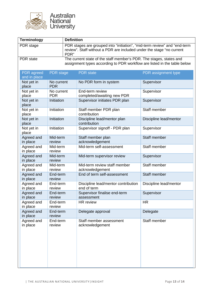

| <b>Terminology</b>                |                                |                                                                                                                                                            | <b>Definition</b>                                  |                        |                          |              |                                      |              |  |  |
|-----------------------------------|--------------------------------|------------------------------------------------------------------------------------------------------------------------------------------------------------|----------------------------------------------------|------------------------|--------------------------|--------------|--------------------------------------|--------------|--|--|
| PDR stage                         |                                | PDR stages are grouped into "initiation", "mid-term review" and "end-term<br>review". Staff without a PDR are included under the stage "no current<br>PDR" |                                                    |                        |                          |              |                                      |              |  |  |
| <b>PDR</b> state                  |                                | The current state of the staff member's PDR. The stages, states and<br>assignment types according to PDR workflow are listed in the table below            |                                                    |                        |                          |              |                                      |              |  |  |
| <b>PDR</b> agreed<br>and in place | <b>PDR</b> stage               |                                                                                                                                                            | <b>PDR</b> state                                   | PDR assignment type    |                          |              |                                      |              |  |  |
| Not yet in<br>place               | No current<br><b>PDR</b>       |                                                                                                                                                            | No PDR form in system                              | Supervisor             |                          |              |                                      |              |  |  |
| Not yet in<br>place               | No current<br><b>PDR</b>       |                                                                                                                                                            | End-term review<br>completed/awaiting new PDR      | Supervisor             |                          |              |                                      |              |  |  |
| Not yet in<br>place               | Initiation                     |                                                                                                                                                            | Supervisor initiates PDR plan                      | Supervisor             |                          |              |                                      |              |  |  |
| Not yet in<br>place               | Initiation                     |                                                                                                                                                            | Staff member PDR plan<br>contribution              | Staff member           |                          |              |                                      |              |  |  |
| Not yet in<br>place               | Initiation                     |                                                                                                                                                            | Discipline lead/mentor plan<br>contribution        | Discipline lead/mentor |                          |              |                                      |              |  |  |
| Not yet in<br>place               | Initiation                     |                                                                                                                                                            | Supervisor signoff - PDR plan                      | Supervisor             |                          |              |                                      |              |  |  |
| Agreed and<br>in place            | Mid-term<br>review<br>Mid-term |                                                                                                                                                            |                                                    |                        |                          |              | Staff member plan<br>acknowledgement | Staff member |  |  |
| Agreed and<br>in place            |                                |                                                                                                                                                            | review                                             |                        | Mid-term self-assessment | Staff member |                                      |              |  |  |
| Agreed and<br>in place            | Mid-term<br>review             |                                                                                                                                                            | Mid-term supervisor review                         | Supervisor             |                          |              |                                      |              |  |  |
| Agreed and<br>in place            | Mid-term<br>review             |                                                                                                                                                            | Mid-term review staff member<br>acknowledgement    | Staff member           |                          |              |                                      |              |  |  |
| Agreed and<br>in place            | End-term<br>review             |                                                                                                                                                            | End of term self-assessment                        | Staff member           |                          |              |                                      |              |  |  |
| Agreed and<br>in place            | End-term<br>review             |                                                                                                                                                            | Discipline lead/mentor contribution<br>end of term | Discipline lead/mentor |                          |              |                                      |              |  |  |
| Agreed and<br>in place            | End-term<br>review             |                                                                                                                                                            | Supervisor finalise end-term<br>assessment         | Supervisor             |                          |              |                                      |              |  |  |
| Agreed and<br>in place            | End-term                       |                                                                                                                                                            | review                                             |                        | HR review                | <b>HR</b>    |                                      |              |  |  |
| Agreed and<br>in place            | End-term<br>review             |                                                                                                                                                            | Delegate approval                                  | Delegate               |                          |              |                                      |              |  |  |
| Agreed and<br>in place            | End-term<br>review             |                                                                                                                                                            | Staff member assessment<br>acknowledgement         | Staff member           |                          |              |                                      |              |  |  |